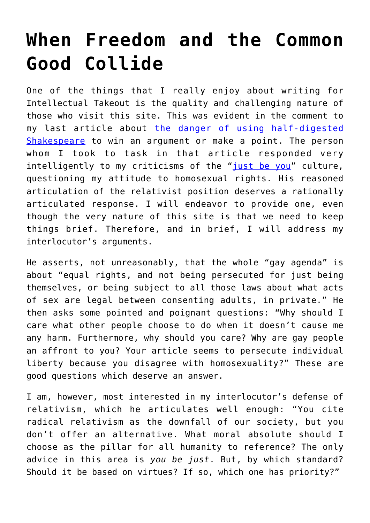## **[When Freedom and the Common](https://intellectualtakeout.org/2016/06/when-freedom-and-the-common-good-collide/) [Good Collide](https://intellectualtakeout.org/2016/06/when-freedom-and-the-common-good-collide/)**

One of the things that I really enjoy about writing for Intellectual Takeout is the quality and challenging nature of those who visit this site. This was evident in the comment to my last article about [the danger of using half-digested](https://www.intellectualtakeout.org/blog/relativism-and-danger-half-digested-shakespeare) [Shakespeare](https://www.intellectualtakeout.org/blog/relativism-and-danger-half-digested-shakespeare) to win an argument or make a point. The person whom I took to task in that article responded very intelligently to my criticisms of the ["just be you](https://www.intellectualtakeout.org/blog/just-be-you-our-cultures-sad-embrace-moral-anarchy)" culture, questioning my attitude to homosexual rights. His reasoned articulation of the relativist position deserves a rationally articulated response. I will endeavor to provide one, even though the very nature of this site is that we need to keep things brief. Therefore, and in brief, I will address my interlocutor's arguments.

He asserts, not unreasonably, that the whole "gay agenda" is about "equal rights, and not being persecuted for just being themselves, or being subject to all those laws about what acts of sex are legal between consenting adults, in private." He then asks some pointed and poignant questions: "Why should I care what other people choose to do when it doesn't cause me any harm. Furthermore, why should you care? Why are gay people an affront to you? Your article seems to persecute individual liberty because you disagree with homosexuality?" These are good questions which deserve an answer.

I am, however, most interested in my interlocutor's defense of relativism, which he articulates well enough: "You cite radical relativism as the downfall of our society, but you don't offer an alternative. What moral absolute should I choose as the pillar for all humanity to reference? The only advice in this area is *you be just*. But, by which standard? Should it be based on virtues? If so, which one has priority?"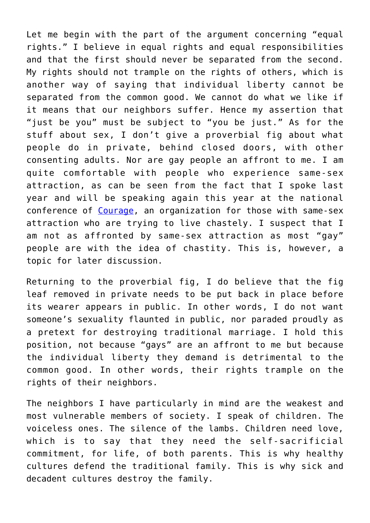Let me begin with the part of the argument concerning "equal rights." I believe in equal rights and equal responsibilities and that the first should never be separated from the second. My rights should not trample on the rights of others, which is another way of saying that individual liberty cannot be separated from the common good. We cannot do what we like if it means that our neighbors suffer. Hence my assertion that "just be you" must be subject to "you be just." As for the stuff about sex, I don't give a proverbial fig about what people do in private, behind closed doors, with other consenting adults. Nor are gay people an affront to me. I am quite comfortable with people who experience same-sex attraction, as can be seen from the fact that I spoke last year and will be speaking again this year at the national conference of [Courage](https://couragerc.org/), an organization for those with same-sex attraction who are trying to live chastely. I suspect that I am not as affronted by same-sex attraction as most "gay" people are with the idea of chastity. This is, however, a topic for later discussion.

Returning to the proverbial fig, I do believe that the fig leaf removed in private needs to be put back in place before its wearer appears in public. In other words, I do not want someone's sexuality flaunted in public, nor paraded proudly as a pretext for destroying traditional marriage. I hold this position, not because "gays" are an affront to me but because the individual liberty they demand is detrimental to the common good. In other words, their rights trample on the rights of their neighbors.

The neighbors I have particularly in mind are the weakest and most vulnerable members of society. I speak of children. The voiceless ones. The silence of the lambs. Children need love, which is to say that they need the self-sacrificial commitment, for life, of both parents. This is why healthy cultures defend the traditional family. This is why sick and decadent cultures destroy the family.